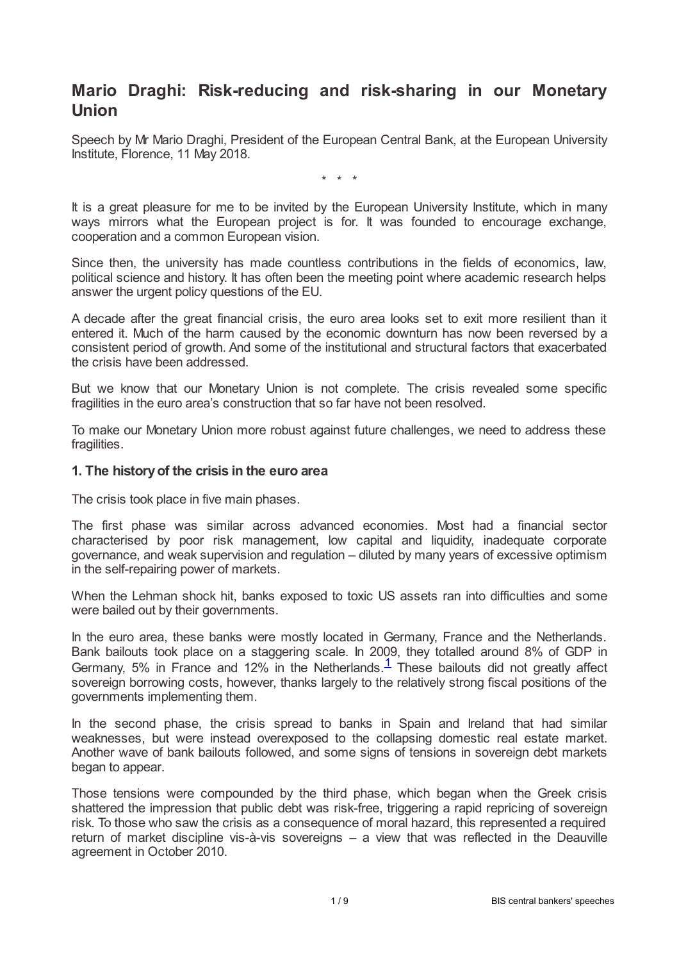# **Mario Draghi: Risk-reducing and risk-sharing in our Monetary Union**

Speech by Mr Mario Draghi, President of the European Central Bank, at the European University Institute, Florence, 11 May 2018.

\* \* \*

It is a great pleasure for me to be invited by the European University Institute, which in many ways mirrors what the European project is for. It was founded to encourage exchange, cooperation and a common European vision.

Since then, the university has made countless contributions in the fields of economics, law, political science and history. It has often been the meeting point where academic research helps answer the urgent policy questions of the EU.

A decade after the great financial crisis, the euro area looks set to exit more resilient than it entered it. Much of the harm caused by the economic downturn has now been reversed by a consistent period of growth. And some of the institutional and structural factors that exacerbated the crisis have been addressed.

But we know that our Monetary Union is not complete. The crisis revealed some specific fragilities in the euro area's construction that so far have not been resolved.

To make our Monetary Union more robust against future challenges, we need to address these fragilities.

### **1. The historyof the crisis in the euro area**

The crisis took place in five main phases.

The first phase was similar across advanced economies. Most had a financial sector characterised by poor risk management, low capital and liquidity, inadequate corporate governance, and weak supervision and regulation – diluted by many years of excessive optimism in the self-repairing power of markets.

When the Lehman shock hit, banks exposed to toxic US assets ran into difficulties and some were bailed out by their governments.

<span id="page-0-0"></span>In the euro area, these banks were mostly located in Germany, France and the Netherlands. Bank bailouts took place on a staggering scale. In 2009, they totalled around 8% of GDP in Germany, 5% in France and [1](#page-6-0)2% in the Netherlands.<sup>1</sup> These bailouts did not greatly affect sovereign borrowing costs, however, thanks largely to the relatively strong fiscal positions of the governments implementing them.

In the second phase, the crisis spread to banks in Spain and Ireland that had similar weaknesses, but were instead overexposed to the collapsing domestic real estate market. Another wave of bank bailouts followed, and some signs of tensions in sovereign debt markets began to appear.

Those tensions were compounded by the third phase, which began when the Greek crisis shattered the impression that public debt was risk-free, triggering a rapid repricing of sovereign risk. To those who saw the crisis as a consequence of moral hazard, this represented a required return of market discipline vis-à-vis sovereigns – a view that was reflected in the Deauville agreement in October 2010.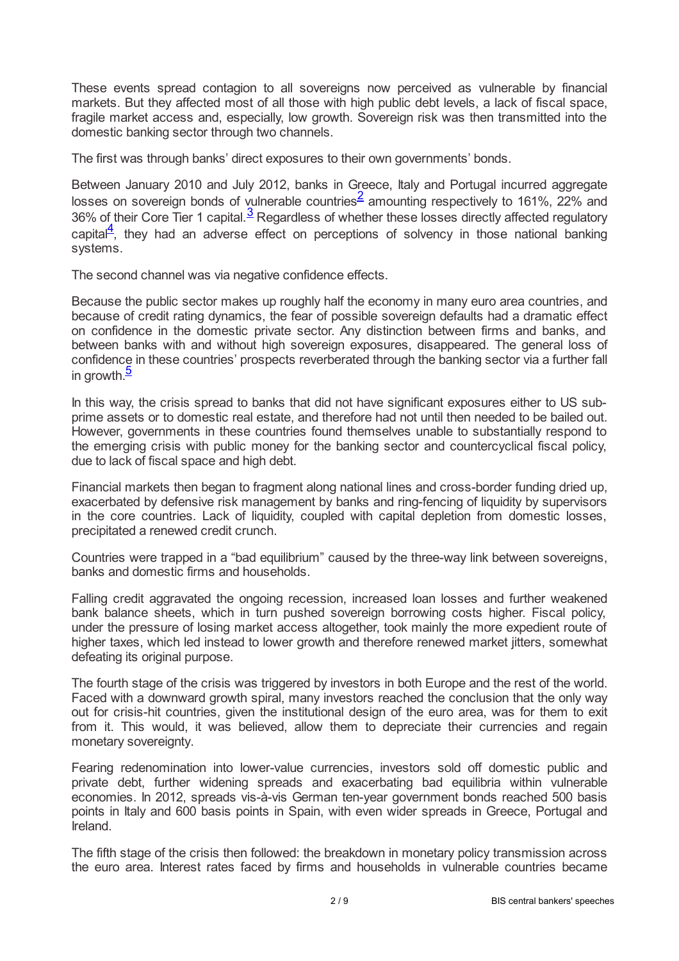These events spread contagion to all sovereigns now perceived as vulnerable by financial markets. But they affected most of all those with high public debt levels, a lack of fiscal space, fragile market access and, especially, low growth. Sovereign risk was then transmitted into the domestic banking sector through two channels.

The first was through banks' direct exposures to their own governments' bonds.

<span id="page-1-1"></span><span id="page-1-0"></span>Between January 2010 and July 2012, banks in Greece, Italy and Portugal incurred aggregate losses on sovereign bonds of vulnerable countries<sup>[2](#page-6-1)</sup> amounting respectively to 161%, 22% and  $36\%$  $36\%$  of their Core Tier 1 capital. $\frac{3}{2}$  Regardless of whether these losses directly affected regulatory capital $\frac{4}{1}$  $\frac{4}{1}$  $\frac{4}{1}$ , they had an adverse effect on perceptions of solvency in those national banking systems.

<span id="page-1-2"></span>The second channel was via negative confidence effects.

Because the public sector makes up roughly half the economy in many euro area countries, and because of credit rating dynamics, the fear of possible sovereign defaults had a dramatic effect on confidence in the domestic private sector. Any distinction between firms and banks, and between banks with and without high sovereign exposures, disappeared. The general loss of confidence in these countries' prospects reverberated through the banking sector via a further fall in growth.<sup>[5](#page-6-4)</sup>

<span id="page-1-3"></span>In this way, the crisis spread to banks that did not have significant exposures either to US subprime assets or to domestic real estate, and therefore had not until then needed to be bailed out. However, governments in these countries found themselves unable to substantially respond to the emerging crisis with public money for the banking sector and countercyclical fiscal policy, due to lack of fiscal space and high debt.

Financial markets then began to fragment along national lines and cross-border funding dried up, exacerbated by defensive risk management by banks and ring-fencing of liquidity by supervisors in the core countries. Lack of liquidity, coupled with capital depletion from domestic losses, precipitated a renewed credit crunch.

Countries were trapped in a "bad equilibrium" caused by the three-way link between sovereigns, banks and domestic firms and households.

Falling credit aggravated the ongoing recession, increased loan losses and further weakened bank balance sheets, which in turn pushed sovereign borrowing costs higher. Fiscal policy, under the pressure of losing market access altogether, took mainly the more expedient route of higher taxes, which led instead to lower growth and therefore renewed market jitters, somewhat defeating its original purpose.

The fourth stage of the crisis was triggered by investors in both Europe and the rest of the world. Faced with a downward growth spiral, many investors reached the conclusion that the only way out for crisis-hit countries, given the institutional design of the euro area, was for them to exit from it. This would, it was believed, allow them to depreciate their currencies and regain monetary sovereignty.

Fearing redenomination into lower-value currencies, investors sold off domestic public and private debt, further widening spreads and exacerbating bad equilibria within vulnerable economies. In 2012, spreads vis-à-vis German ten-year government bonds reached 500 basis points in Italy and 600 basis points in Spain, with even wider spreads in Greece, Portugal and Ireland.

The fifth stage of the crisis then followed: the breakdown in monetary policy transmission across the euro area. Interest rates faced by firms and households in vulnerable countries became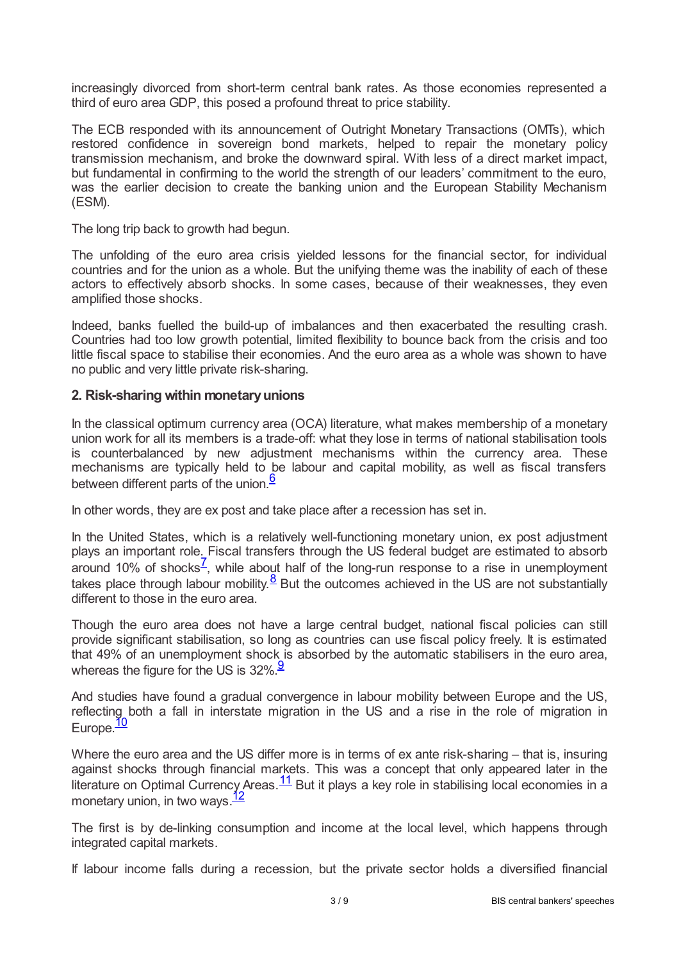increasingly divorced from short-term central bank rates. As those economies represented a third of euro area GDP, this posed a profound threat to price stability.

The ECB responded with its announcement of Outright Monetary Transactions (OMTs), which restored confidence in sovereign bond markets, helped to repair the monetary policy transmission mechanism, and broke the downward spiral. With less of a direct market impact, but fundamental in confirming to the world the strength of our leaders' commitment to the euro, was the earlier decision to create the banking union and the European Stability Mechanism (ESM).

The long trip back to growth had begun.

The unfolding of the euro area crisis yielded lessons for the financial sector, for individual countries and for the union as a whole. But the unifying theme was the inability of each of these actors to effectively absorb shocks. In some cases, because of their weaknesses, they even amplified those shocks.

Indeed, banks fuelled the build-up of imbalances and then exacerbated the resulting crash. Countries had too low growth potential, limited flexibility to bounce back from the crisis and too little fiscal space to stabilise their economies. And the euro area as a whole was shown to have no public and very little private risk-sharing.

## **2. Risk-sharing within monetaryunions**

In the classical optimum currency area (OCA) literature, what makes membership of a monetary union work for all its members is a trade-off: what they lose in terms of national stabilisation tools is counterbalanced by new adjustment mechanisms within the currency area. These mechanisms are typically held to be labour and capital mobility, as well as fiscal transfers between different parts of the union.<sup>[6](#page-6-5)</sup>

<span id="page-2-0"></span>In other words, they are ex post and take place after a recession has set in.

<span id="page-2-1"></span>In the United States, which is a relatively well-functioning monetary union, ex post adjustment plays an important role. Fiscal transfers through the US federal budget are estimated to absorb around 10% of shocks<sup>Z</sup>, while about half of the long-run response to a rise in unemployment takes place through labour mobility. $\frac{8}{5}$  $\frac{8}{5}$  $\frac{8}{5}$  But the outcomes achieved in the US are not substantially different to those in the euro area.

<span id="page-2-2"></span>Though the euro area does not have a large central budget, national fiscal policies can still provide significant stabilisation, so long as countries can use fiscal policy freely. It is estimated that 49% of an unemployment shock is absorbed by the automatic stabilisers in the euro area, whereas the figure for the US is  $32\%$ .

<span id="page-2-3"></span>And studies have found a gradual convergence in labour mobility between Europe and the US, reflecting both a fall in interstate migration in the US and a rise in the role of migration in Europe.<sup>[10](#page-7-3)</sup>

<span id="page-2-5"></span><span id="page-2-4"></span>Where the euro area and the US differ more is in terms of ex ante risk-sharing – that is, insuring against shocks through financial markets. This was a concept that only appeared later in the literature on Optimal Currency Areas.  $\frac{11}{1}$  $\frac{11}{1}$  $\frac{11}{1}$  But it plays a key role in stabilising local economies in a monetary union, in two ways.<sup>[12](#page-7-5)</sup>

<span id="page-2-6"></span>The first is by de-linking consumption and income at the local level, which happens through integrated capital markets.

If labour income falls during a recession, but the private sector holds a diversified financial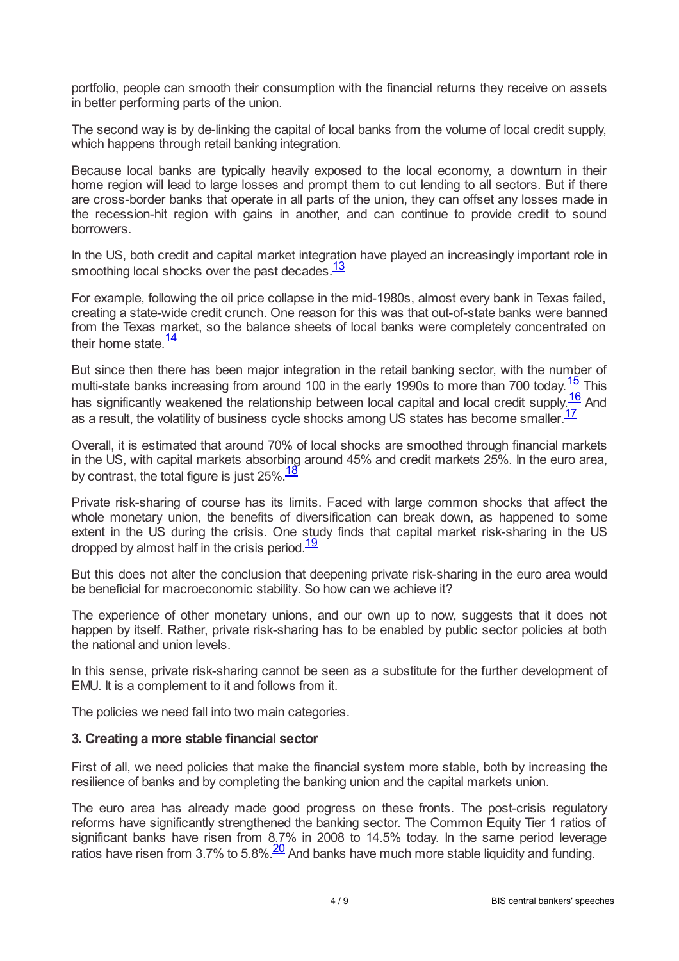portfolio, people can smooth their consumption with the financial returns they receive on assets in better performing parts of the union.

The second way is by de-linking the capital of local banks from the volume of local credit supply, which happens through retail banking integration.

Because local banks are typically heavily exposed to the local economy, a downturn in their home region will lead to large losses and prompt them to cut lending to all sectors. But if there are cross-border banks that operate in all parts of the union, they can offset any losses made in the recession-hit region with gains in another, and can continue to provide credit to sound borrowers.

<span id="page-3-0"></span>In the US, both credit and capital market integration have played an increasingly important role in smoothing local shocks over the past decades.<sup>[13](#page-7-6)</sup>

For example, following the oil price collapse in the mid-1980s, almost every bank in Texas failed, creating a state-wide credit crunch. One reason for this was that out-of-state banks were banned from the Texas market, so the balance sheets of local banks were completely concentrated on their home state.<sup>[14](#page-7-7)</sup>

<span id="page-3-3"></span><span id="page-3-2"></span><span id="page-3-1"></span>But since then there has been major integration in the retail banking sector, with the number of multi-state banks increasing from around 100 in the early 1990s to more than 700 today. $\frac{15}{2}$  $\frac{15}{2}$  $\frac{15}{2}$  This has significantly weakened the relationship between local capital and local credit supply.<sup>[16](#page-7-9)</sup> And as a result, the volatility of business cycle shocks among US states has become smaller.<sup>[17](#page-7-10)</sup>

<span id="page-3-4"></span>Overall, it is estimated that around 70% of local shocks are smoothed through financial markets in the US, with capital markets absorbing around 45% and credit markets 25%. In the euro area, by contrast, the total figure is just 25%.<sup>[18](#page-7-11)</sup>

<span id="page-3-5"></span>Private risk-sharing of course has its limits. Faced with large common shocks that affect the whole monetary union, the benefits of diversification can break down, as happened to some extent in the US during the crisis. One study finds that capital market risk-sharing in the US dropped by almost half in the crisis period.<sup>[19](#page-7-12)</sup>

<span id="page-3-6"></span>But this does not alter the conclusion that deepening private risk-sharing in the euro area would be beneficial for macroeconomic stability. So how can we achieve it?

The experience of other monetary unions, and our own up to now, suggests that it does not happen by itself. Rather, private risk-sharing has to be enabled by public sector policies at both the national and union levels.

In this sense, private risk-sharing cannot be seen as a substitute for the further development of EMU. It is a complement to it and follows from it.

The policies we need fall into two main categories.

## **3. Creating a more stable financial sector**

First of all, we need policies that make the financial system more stable, both by increasing the resilience of banks and by completing the banking union and the capital markets union.

<span id="page-3-7"></span>The euro area has already made good progress on these fronts. The post-crisis regulatory reforms have significantly strengthened the banking sector. The Common Equity Tier 1 ratios of significant banks have risen from 8.7% in 2008 to 14.5% today. In the same period leverage ratios have risen from  $3.7\%$  to  $5.8\%$ .  $\frac{20}{20}$  $\frac{20}{20}$  $\frac{20}{20}$  And banks have much more stable liquidity and funding.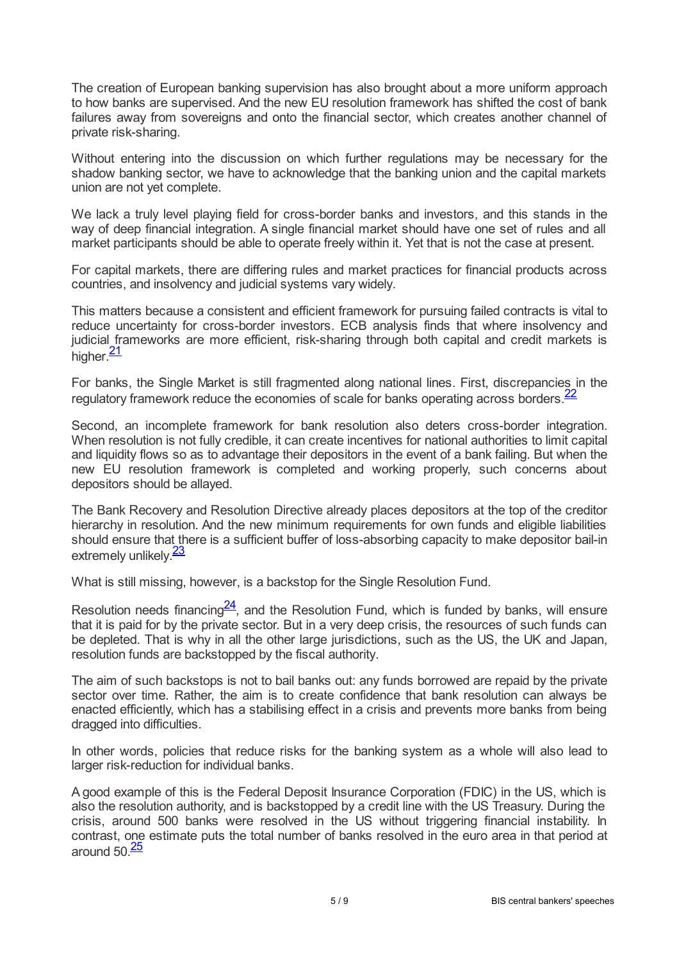The creation of European banking supervision has also brought about a more uniform approach to how banks are supervised. And the new EU resolution framework has shifted the cost of bank failures away from sovereigns and onto the financial sector, which creates another channel of private risk-sharing.

Without entering into the discussion on which further regulations may be necessary for the shadow banking sector, we have to acknowledge that the banking union and the capital markets union are not yet complete.

We lack a truly level playing field for cross-border banks and investors, and this stands in the way of deep financial integration. A single financial market should have one set of rules and all market participants should be able to operate freely within it. Yet that is not the case at present.

For capital markets, there are differing rules and market practices for financial products across countries, and insolvency and judicial systems vary widely.

This matters because a consistent and efficient framework for pursuing failed contracts is vital to reduce uncertainty for cross-border investors. ECB analysis finds that where insolvency and judicial frameworks are more efficient, risk-sharing through both capital and credit markets is higher.<sup>[21](#page-7-14)</sup>

<span id="page-4-1"></span><span id="page-4-0"></span>For banks, the Single Market is still fragmented along national lines. First, discrepancies in the regulatory framework reduce the economies of scale for banks operating across borders.<sup>[22](#page-7-15)</sup>

Second, an incomplete framework for bank resolution also deters cross-border integration. When resolution is not fully credible, it can create incentives for national authorities to limit capital and liquidity flows so as to advantage their depositors in the event of a bank failing. But when the new EU resolution framework is completed and working properly, such concerns about depositors should be allayed.

The Bank Recovery and Resolution Directive already places depositors at the top of the creditor hierarchy in resolution. And the new minimum requirements for own funds and eligible liabilities should ensure that there is a sufficient buffer of loss-absorbing capacity to make depositor bail-in extremely unlikely.<sup>[23](#page-7-16)</sup>

<span id="page-4-2"></span>What is still missing, however, is a backstop for the Single Resolution Fund.

<span id="page-4-3"></span>Resolution needs financing $\frac{24}{}$  $\frac{24}{}$  $\frac{24}{}$ , and the Resolution Fund, which is funded by banks, will ensure that it is paid for by the private sector. But in a very deep crisis, the resources of such funds can be depleted. That is why in all the other large jurisdictions, such as the US, the UK and Japan, resolution funds are backstopped by the fiscal authority.

The aim of such backstops is not to bail banks out: any funds borrowed are repaid by the private sector over time. Rather, the aim is to create confidence that bank resolution can always be enacted efficiently, which has a stabilising effect in a crisis and prevents more banks from being dragged into difficulties.

In other words, policies that reduce risks for the banking system as a whole will also lead to larger risk-reduction for individual banks.

<span id="page-4-4"></span>A good example of this is the Federal Deposit Insurance Corporation (FDIC) in the US, which is also the resolution authority, and is backstopped by a credit line with the US Treasury. During the crisis, around 500 banks were resolved in the US without triggering financial instability. In contrast, one estimate puts the total number of banks resolved in the euro area in that period at around 50.<sup>[25](#page-7-18)</sup>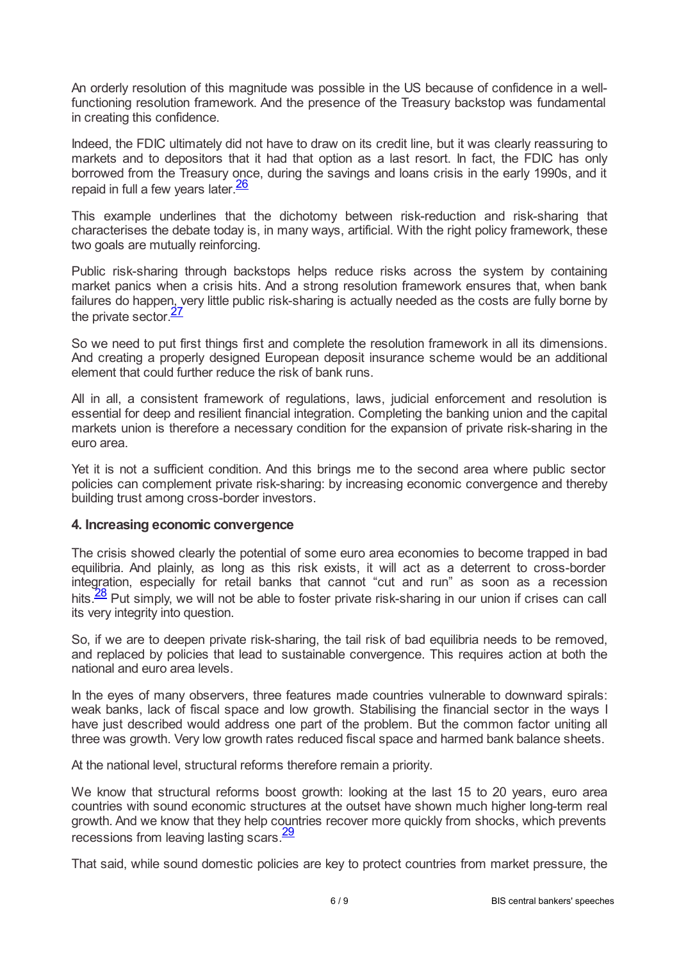An orderly resolution of this magnitude was possible in the US because of confidence in a wellfunctioning resolution framework. And the presence of the Treasury backstop was fundamental in creating this confidence.

Indeed, the FDIC ultimately did not have to draw on its credit line, but it was clearly reassuring to markets and to depositors that it had that option as a last resort. In fact, the FDIC has only borrowed from the Treasury once, during the savings and loans crisis in the early 1990s, and it repaid in full a few years later.<sup>[26](#page-7-19)</sup>

<span id="page-5-0"></span>This example underlines that the dichotomy between risk-reduction and risk-sharing that characterises the debate today is, in many ways, artificial. With the right policy framework, these two goals are mutually reinforcing.

Public risk-sharing through backstops helps reduce risks across the system by containing market panics when a crisis hits. And a strong resolution framework ensures that, when bank failures do happen, very little public risk-sharing is actually needed as the costs are fully borne by the private sector. $\frac{27}{1}$  $\frac{27}{1}$  $\frac{27}{1}$ 

<span id="page-5-1"></span>So we need to put first things first and complete the resolution framework in all its dimensions. And creating a properly designed European deposit insurance scheme would be an additional element that could further reduce the risk of bank runs.

All in all, a consistent framework of regulations, laws, judicial enforcement and resolution is essential for deep and resilient financial integration. Completing the banking union and the capital markets union is therefore a necessary condition for the expansion of private risk-sharing in the euro area.

Yet it is not a sufficient condition. And this brings me to the second area where public sector policies can complement private risk-sharing: by increasing economic convergence and thereby building trust among cross-border investors.

## **4. Increasing economic convergence**

The crisis showed clearly the potential of some euro area economies to become trapped in bad equilibria. And plainly, as long as this risk exists, it will act as a deterrent to cross-border integration, especially for retail banks that cannot "cut and run" as soon as a recession hits.<sup>[28](#page-8-0)</sup> Put simply, we will not be able to foster private risk-sharing in our union if crises can call its very integrity into question.

<span id="page-5-2"></span>So, if we are to deepen private risk-sharing, the tail risk of bad equilibria needs to be removed, and replaced by policies that lead to sustainable convergence. This requires action at both the national and euro area levels.

In the eyes of many observers, three features made countries vulnerable to downward spirals: weak banks, lack of fiscal space and low growth. Stabilising the financial sector in the ways I have just described would address one part of the problem. But the common factor uniting all three was growth. Very low growth rates reduced fiscal space and harmed bank balance sheets.

At the national level, structural reforms therefore remain a priority.

We know that structural reforms boost growth: looking at the last 15 to 20 years, euro area countries with sound economic structures at the outset have shown much higher long-term real growth. And we know that they help countries recover more quickly from shocks, which prevents recessions from leaving lasting scars.<sup>[29](#page-8-1)</sup>

<span id="page-5-3"></span>That said, while sound domestic policies are key to protect countries from market pressure, the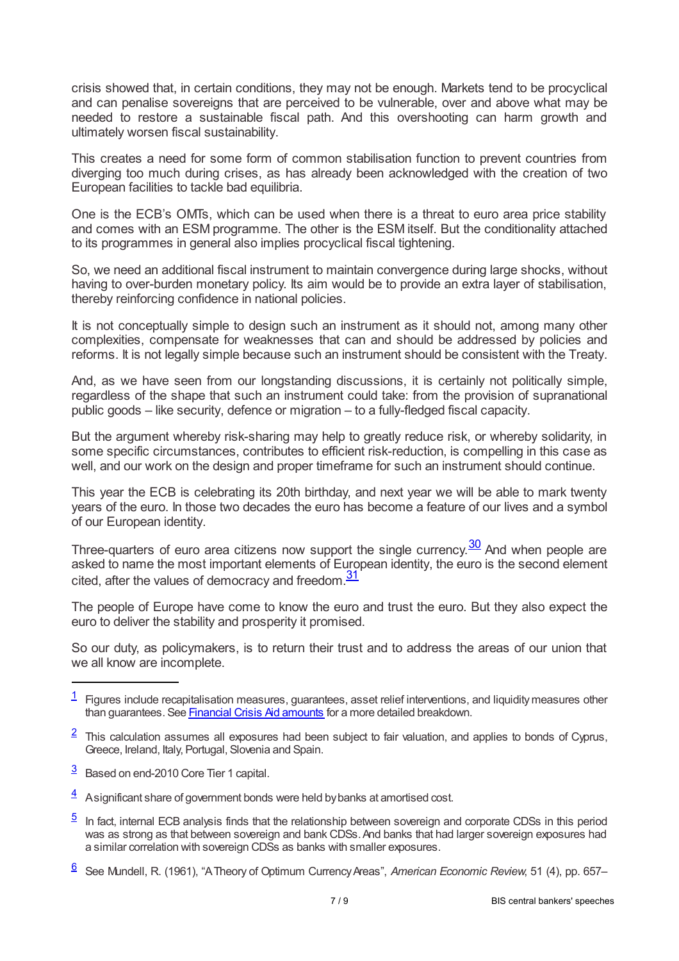crisis showed that, in certain conditions, they may not be enough. Markets tend to be procyclical and can penalise sovereigns that are perceived to be vulnerable, over and above what may be needed to restore a sustainable fiscal path. And this overshooting can harm growth and ultimately worsen fiscal sustainability.

This creates a need for some form of common stabilisation function to prevent countries from diverging too much during crises, as has already been acknowledged with the creation of two European facilities to tackle bad equilibria.

One is the ECB's OMTs, which can be used when there is a threat to euro area price stability and comes with an ESM programme. The other is the ESM itself. But the conditionality attached to its programmes in general also implies procyclical fiscal tightening.

So, we need an additional fiscal instrument to maintain convergence during large shocks, without having to over-burden monetary policy. Its aim would be to provide an extra layer of stabilisation, thereby reinforcing confidence in national policies.

It is not conceptually simple to design such an instrument as it should not, among many other complexities, compensate for weaknesses that can and should be addressed by policies and reforms. It is not legally simple because such an instrument should be consistent with the Treaty.

And, as we have seen from our longstanding discussions, it is certainly not politically simple, regardless of the shape that such an instrument could take: from the provision of supranational public goods – like security, defence or migration – to a fully-fledged fiscal capacity.

But the argument whereby risk-sharing may help to greatly reduce risk, or whereby solidarity, in some specific circumstances, contributes to efficient risk-reduction, is compelling in this case as well, and our work on the design and proper timeframe for such an instrument should continue.

This year the ECB is celebrating its 20th birthday, and next year we will be able to mark twenty years of the euro. In those two decades the euro has become a feature of our lives and a symbol of our European identity.

<span id="page-6-7"></span><span id="page-6-6"></span>Three-quarters of euro area citizens now support the single currency. $\frac{30}{20}$  $\frac{30}{20}$  $\frac{30}{20}$  And when people are asked to name the most important elements of European identity, the euro is the second element cited, after the values of democracy and freedom.<sup>[31](#page-8-3)</sup>

The people of Europe have come to know the euro and trust the euro. But they also expect the euro to deliver the stability and prosperity it promised.

So our duty, as policymakers, is to return their trust and to address the areas of our union that we all know are incomplete.

- <span id="page-6-1"></span> $\frac{2}{3}$  $\frac{2}{3}$  $\frac{2}{3}$  This calculation assumes all exposures had been subject to fair valuation, and applies to bonds of Cyprus, Greece, Ireland, Italy, Portugal, Slovenia and Spain.
- <span id="page-6-2"></span> $\frac{3}{2}$  $\frac{3}{2}$  $\frac{3}{2}$  Based on end-2010 Core Tier 1 capital.
- <span id="page-6-3"></span> $\frac{4}{3}$  $\frac{4}{3}$  $\frac{4}{3}$  Asignificant share of government bonds were held by banks at amortised cost.
- <span id="page-6-4"></span>In fact, internal ECB analysis finds that the relationship between sovereign and corporate CDSs in this period was as strong as that between sovereign and bank CDSs.And banks that had larger sovereign exposures had a similar correlation with sovereign CDSs as banks with smaller exposures. [5](#page-1-3)
- <span id="page-6-5"></span>See Mundell, R. (1961), "ATheory of Optimum CurrencyAreas", *American Economic Review*, 51 (4), pp. 657– [6](#page-2-0)

<span id="page-6-0"></span> $1$  Figures include recapitalisation measures, guarantees, asset relief interventions, and liquidity measures other than guarantees. See [Financial](www.ec.europa.eu/competition/state_aid/studies_reports/ws7_1.xls) Crisis Aid amounts for a more detailed breakdown.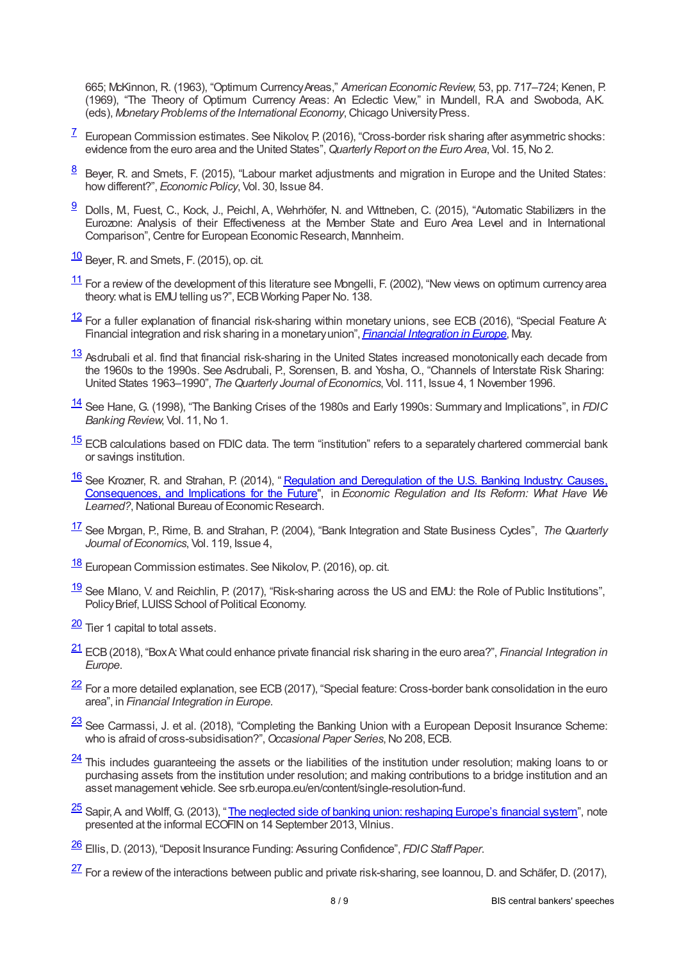665; McKinnon, R. (1963), "Optimum CurrencyAreas," *American EconomicReview*, 53, pp. 717–724; Kenen, P. (1969), "The Theory of Optimum Currency Areas: An Eclectic View," in Mundell, R.A. and Swoboda, A.K. (eds), *Monetary Problems of the International Economy*,Chicago UniversityPress.

- <span id="page-7-0"></span> $\frac{7}{2}$  $\frac{7}{2}$  $\frac{7}{2}$  European Commission estimates. See Nikolov, P. (2016), "Cross-border risk sharing after asymmetric shocks: evidence from the euro area and the United States",*QuarterlyReport on the Euro Area*, Vol. 15,No 2.
- <span id="page-7-1"></span> $\frac{8}{2}$  $\frac{8}{2}$  $\frac{8}{2}$  Beyer, R. and Smets, F. (2015), "Labour market adjustments and migration in Europe and the United States: howdifferent?", *Economic Policy*, Vol. 30, Issue 84.
- <span id="page-7-2"></span> $\frac{9}{2}$  $\frac{9}{2}$  $\frac{9}{2}$  Dolls, M, Fuest, C., Kock, J., Peichl, A, Wehrhöfer, N. and Wittneben, C. (2015), "Automatic Stabilizers in the Eurozone: Analysis of their Effectiveness at the Member State and Euro Area Level and in International Comparison", Centre for European Economic Research, Mannheim.
- <span id="page-7-3"></span> $\frac{10}{2}$  $\frac{10}{2}$  $\frac{10}{2}$  Beyer, R. and Smets, F. (2015), op. cit.
- <span id="page-7-4"></span> $\frac{11}{1}$  $\frac{11}{1}$  $\frac{11}{1}$  For a review of the development of this literature see Mongelli, F. (2002), "New views on optimum currency area theory, what is EMU telling us?", ECB Working Paper No. 138.
- <span id="page-7-5"></span> $\frac{12}{12}$  $\frac{12}{12}$  $\frac{12}{12}$  For a fuller explanation of financial risk-sharing within monetary unions, see ECB (2016), "Special Feature A: Financial integration and risk sharing in a monetaryunion", *Financial [Integration](www.ecb.europa.eu/pub/pdf/other/financialintegrationineurope201604.en.pdf) in Europe*, May.
- <span id="page-7-6"></span> $\frac{13}{13}$  $\frac{13}{13}$  $\frac{13}{13}$  Asdrubali et al. find that financial risk-sharing in the United States increased monotonically each decade from the 1960s to the 1990s. See Asdrubali, P., Sorensen, B. and Yosha, O., "Channels of Interstate Risk Sharing: United States 1963–1990", *TheQuarterly Journal of Economics*, Vol. 111, Issue 4, 1 November 1996.
- <span id="page-7-7"></span>[14](#page-3-1) See Hane, G. (1998), "The Banking Crises of the 1980s and Early 1990s: Summary and Implications", in *FDIC Banking Review*, Vol. 11,No 1.
- <span id="page-7-8"></span> $\frac{15}{2}$  $\frac{15}{2}$  $\frac{15}{2}$  ECB calculations based on FDIC data. The term "institution" refers to a separately chartered commercial bank or savings institution.
- <span id="page-7-9"></span>See Krozner, R. and Strahan, P. (2014), " Regulation and Deregulation of the U.S. Banking Industry: Causes, [Consequences,](ideas.repec.org/h/nbr/nberch/12571.html) and Implications for the Future", in *Economic Regulation and Its Reform: What Have We* **Learned?, National Bureau of Economic Research.** [16](#page-3-3)
- <span id="page-7-10"></span>See Morgan, P., Rime, B. and Strahan, P. (2004), "Bank Integration and State Business Cycles", *The Quarterly* [17](#page-3-4) *Journal of Economics*, Vol. 119, Issue 4,
- <span id="page-7-11"></span>[18](#page-3-5) European Commission estimates. See Nikolov, P. (2016), op. cit.
- <span id="page-7-12"></span> $\frac{19}{18}$  $\frac{19}{18}$  $\frac{19}{18}$  See Milano, V. and Reichlin, P. (2017), "Risk-sharing across the US and EMU: the Role of Public Institutions", Policy Brief, LUISS School of Political Economy.
- <span id="page-7-13"></span> $\frac{20}{20}$  $\frac{20}{20}$  $\frac{20}{20}$  Tier 1 capital to total assets.
- <span id="page-7-14"></span>ECB(2018), "BoxA: What could enhance private financial risk sharing in the euro area?", *Financial Integration in* [21](#page-4-0) *Europe*.
- <span id="page-7-15"></span> $\frac{22}{2}$  $\frac{22}{2}$  $\frac{22}{2}$  For a more detailed explanation, see ECB (2017), "Special feature: Cross-border bank consolidation in the euro area", in *Financial Integration in Europe*.
- <span id="page-7-16"></span> $\frac{23}{2}$  $\frac{23}{2}$  $\frac{23}{2}$  See Carmassi, J. et al. (2018), "Completing the Banking Union with a European Deposit Insurance Scheme: who is afraid of cross-subsidisation?", Occasional Paper Series, No 208, ECB.
- <span id="page-7-17"></span> $\frac{24}{1}$  $\frac{24}{1}$  $\frac{24}{1}$ This includes guaranteeing the assets or the liabilities of the institution under resolution; making loans to or purchasing assets from the institution under resolution; and making contributions to a bridge institution and an asset management vehicle. See srb.europa.eu/en/content/single-resolution-fund.
- <span id="page-7-18"></span>25 Sapir, A and Wolff, G. (2013), "<u>The neglected side of banking union: [reshaping](bruegel.org/wp-content/uploads/imported/publications/20130913SapirWolff_final_.pdf) Europe's financial system</u>", note presented at the informal ECOFIN on 14 September 2013, Vilnius.
- <span id="page-7-19"></span>[26](#page-5-0) Ellis, D. (2013), "Deposit Insurance Funding: Assuring Confidence", *FDIC Staff Paper*.
- <span id="page-7-20"></span> $\frac{27}{2}$  $\frac{27}{2}$  $\frac{27}{2}$  For a review of the interactions between public and private risk-sharing, see Ioannou, D. and Schäfer, D. (2017),